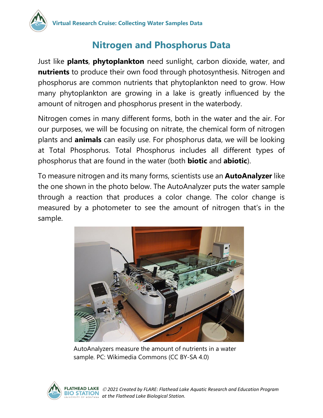### **Nitrogen and Phosphorus Data**

Just like **plants**, **phytoplankton** need sunlight, carbon dioxide, water, and **nutrients** to produce their own food through photosynthesis. Nitrogen and phosphorus are common nutrients that phytoplankton need to grow. How many phytoplankton are growing in a lake is greatly influenced by the amount of nitrogen and phosphorus present in the waterbody.

Nitrogen comes in many different forms, both in the water and the air. For our purposes, we will be focusing on nitrate, the chemical form of nitrogen plants and **animals** can easily use. For phosphorus data, we will be looking at Total Phosphorus. Total Phosphorus includes all different types of phosphorus that are found in the water (both **biotic** and **abiotic**).

To measure nitrogen and its many forms, scientists use an **AutoAnalyzer** like the one shown in the photo below. The AutoAnalyzer puts the water sample through a reaction that produces a color change. The color change is measured by a photometer to see the amount of nitrogen that's in the sample.



AutoAnalyzers measure the amount of nutrients in a water sample. PC: Wikimedia Commons (CC BY-SA 4.0)

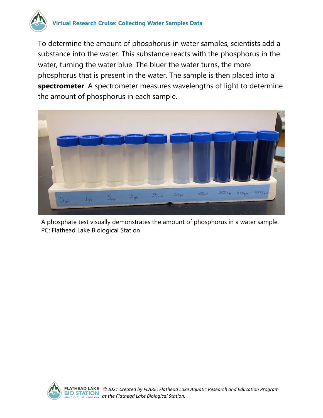

To determine the amount of phosphorus in water samples, scientists add a substance into the water. This substance reacts with the phosphorus in the water, turning the water blue. The bluer the water turns, the more phosphorus that is present in the water. The sample is then placed into a **spectrometer**. A spectrometer measures wavelengths of light to determine the amount of phosphorus in each sample.



A phosphate test visually demonstrates the amount of phosphorus in a water sample. PC: Flathead Lake Biological Station

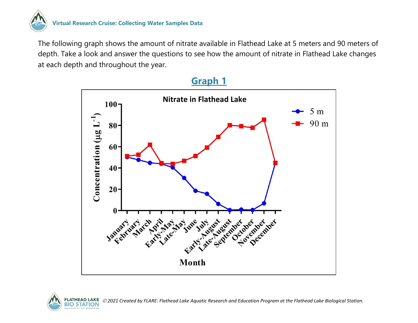

#### **Virtual Research Cruise: Collecting Water Samples Data**

The following graph shows the amount of nitrate available in Flathead Lake at 5 meters and 90 meters of depth. Take a look and answer the questions to see how the amount of nitrate in Flathead Lake changes at each depth and throughout the year.



#### **Graph 1**



*2021 Created by FLARE: Flathead Lake Aquatic Research and Education Program at the Flathead Lake Biological Station.*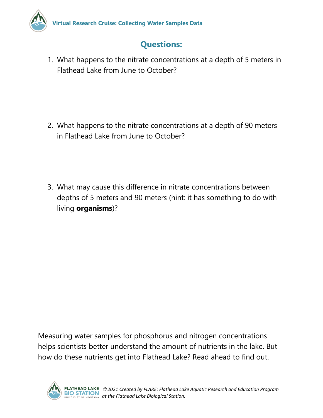

### **Questions:**

1. What happens to the nitrate concentrations at a depth of 5 meters in Flathead Lake from June to October?

- 2. What happens to the nitrate concentrations at a depth of 90 meters in Flathead Lake from June to October?
- 3. What may cause this difference in nitrate concentrations between depths of 5 meters and 90 meters (hint: it has something to do with living **organisms**)?

Measuring water samples for phosphorus and nitrogen concentrations helps scientists better understand the amount of nutrients in the lake. But how do these nutrients get into Flathead Lake? Read ahead to find out.

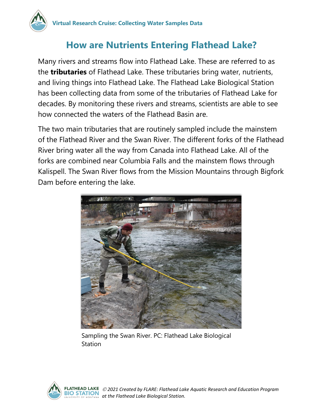

#### **How are Nutrients Entering Flathead Lake?**

Many rivers and streams flow into Flathead Lake. These are referred to as the **tributaries** of Flathead Lake. These tributaries bring water, nutrients, and living things into Flathead Lake. The Flathead Lake Biological Station has been collecting data from some of the tributaries of Flathead Lake for decades. By monitoring these rivers and streams, scientists are able to see how connected the waters of the Flathead Basin are.

The two main tributaries that are routinely sampled include the mainstem of the Flathead River and the Swan River. The different forks of the Flathead River bring water all the way from Canada into Flathead Lake. All of the forks are combined near Columbia Falls and the mainstem flows through Kalispell. The Swan River flows from the Mission Mountains through Bigfork Dam before entering the lake.



Sampling the Swan River. PC: Flathead Lake Biological **Station** 

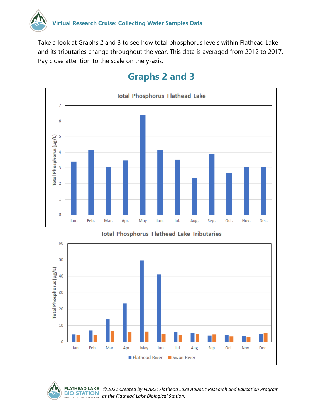

Take a look at Graphs 2 and 3 to see how total phosphorus levels within Flathead Lake and its tributaries change throughout the year. This data is averaged from 2012 to 2017. Pay close attention to the scale on the y-axis.

## **Graphs 2 and 3**





 *2021 Created by FLARE: Flathead Lake Aquatic Research and Education Program*  **BIO STATION** at the Flathead Lake Biological Station.